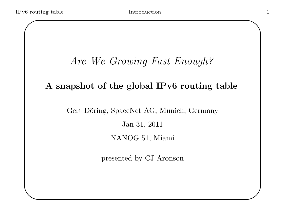## Are We Growing Fast Enough?

#### A snapshot of the global IPv6 routing table

#### Gert Döring, SpaceNet AG, Munich, Germany

Jan 31, 2011

NANOG 51, Miami

presented by CJ Aronson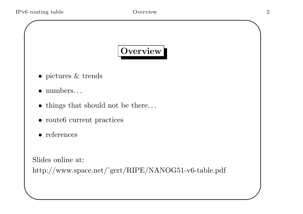# Overview

- pictures & trends
- numbers. . .
- things that should not be there. . .
- route6 current practices
- references

Slides online at:

✫

http://www.space.net/˜gert/RIPE/NANOG51-v6-table.pdf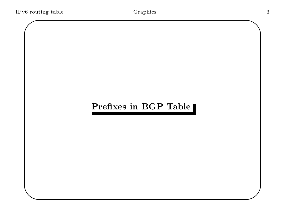# Prefixes in BGP Table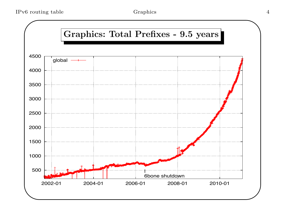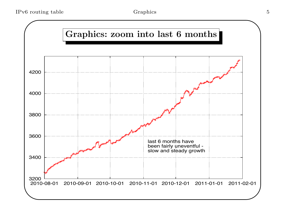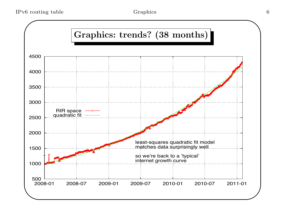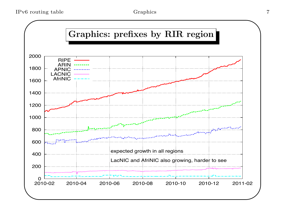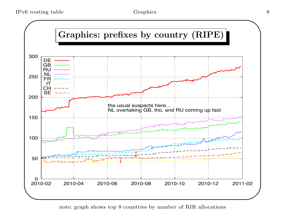

note: graph shows top 8 countries by number of RIR allocations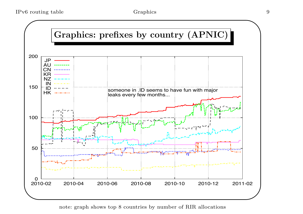

note: graph shows top 8 countries by number of RIR allocations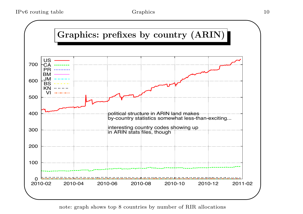

note: graph shows top 8 countries by number of RIR allocations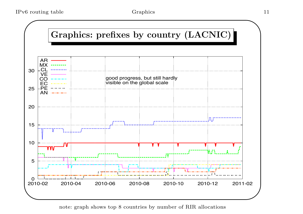

note: graph shows top 8 countries by number of RIR allocations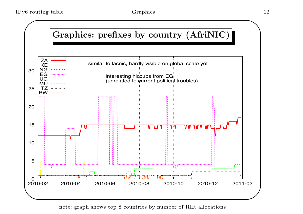

note: graph shows top 8 countries by number of RIR allocations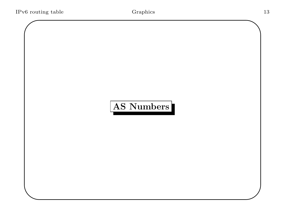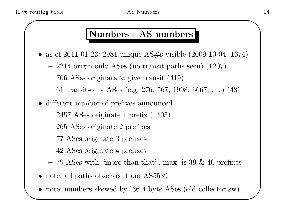✫

#### Numbers - AS numbers

- as of 2011-01-23: 2981 unique AS#s visible (2009-10-04: 1674)
	- 2214 origin-only ASes (no transit paths seen) (1207)
	- 706 ASes originate & give transit (419)
	- 61 transit-only ASes (e.g. 276, 567, 1998, 6667, . . . ) (48)
- different number of prefixes announced
	- 2457 ASes originate 1 prefix (1403)
	- 265 ASes originate 2 prefixes
	- 77 ASes originate 3 prefixes
	- 42 ASes originate 4 prefixes
	- 79 ASes with "more than that", max. is 39  $\&$  40 prefixes
- note: all paths observed from AS5539
- note: numbers skewed by ~36 4-byte-ASes (old collector sw)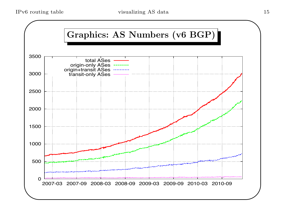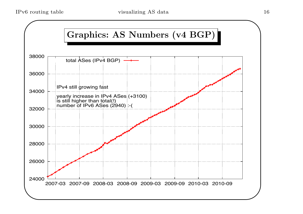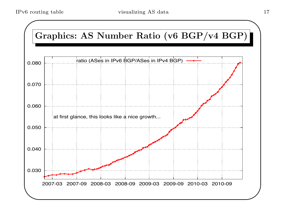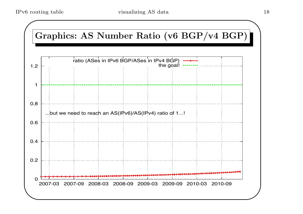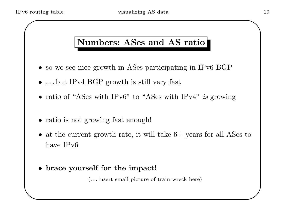✫

### Numbers: ASes and AS ratio

- so we see nice growth in ASes participating in IPv6 BGP
- ... but IPv4 BGP growth is still very fast
- ratio of "ASes with IPv6" to "ASes with IPv4" is growing
- ratio is not growing fast enough!
- at the current growth rate, it will take  $6+$  years for all ASes to have IPv6
- brace yourself for the impact!

(. . . insert small picture of train wreck here)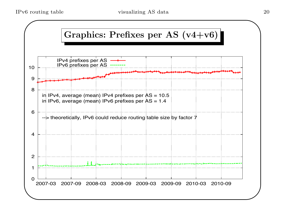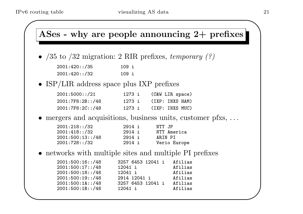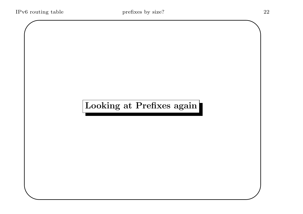# Looking at Prefixes again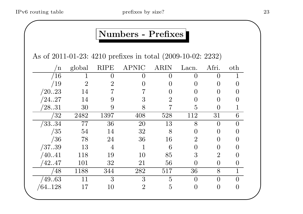#### Numbers - Prefixes

As of 2011-01-23: 4210 prefixes in total (2009-10-02: 2232)

| n               | global         | <b>RIPE</b>    | <b>APNIC</b>   | <b>ARIN</b>    | Lacn.            | Afri.            | oth                   |  |
|-----------------|----------------|----------------|----------------|----------------|------------------|------------------|-----------------------|--|
| /16             |                |                |                | $\Omega$       | $\left( \right)$ | $\left( \right)$ |                       |  |
| /19             | $\overline{2}$ | $\overline{2}$ |                |                |                  |                  |                       |  |
| /2023           | 14             |                |                |                | ( )              |                  |                       |  |
| $^{\prime}2427$ | 14             |                | 3              | $\overline{2}$ | $\left( \right)$ |                  |                       |  |
| $^{\prime}2831$ | 30             |                | 8              |                | 5                |                  | 1                     |  |
| $^{\prime}32$   | 2482           | 1397           | 408            | 528            | 112              | 31               | 6                     |  |
| /3334           | 77             | 36             | 20             | 13             | 8                | $\theta$         |                       |  |
| /35             | 54             | 14             | 32             | 8              | $\theta$         |                  |                       |  |
| /36             | 78             | 24             | 36             | 16             | $\overline{2}$   |                  |                       |  |
| /3739           | 13             | $\overline{4}$ |                | 6              | 0                |                  |                       |  |
| /40.41          | 118            | 19             | 10             | 85             | 3                | $\overline{2}$   |                       |  |
| /4247           | 101            | 32             | 21             | 56             | $\overline{0}$   | $\overline{0}$   | O                     |  |
| 48              | 1188           | 344            | 282            | 517            | 36               | 8                |                       |  |
| 4963            | 11             | 3              | 3              | $\overline{5}$ | $\theta$         | $\theta$         |                       |  |
| 64.128          | 17             | 10             | $\overline{2}$ | $\overline{5}$ | $\theta$         | $\overline{0}$   | $\mathbf{\mathbf{0}}$ |  |
|                 |                |                |                |                |                  |                  |                       |  |
|                 |                |                |                |                |                  |                  |                       |  |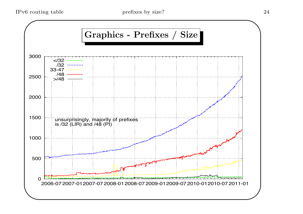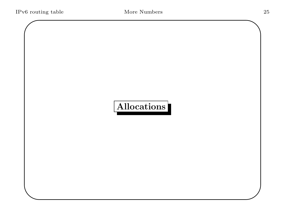# Allocations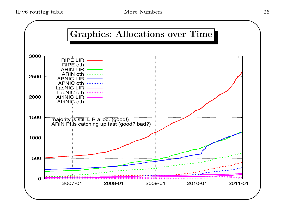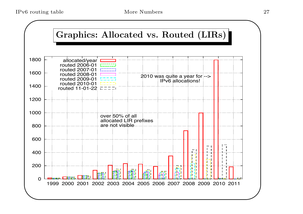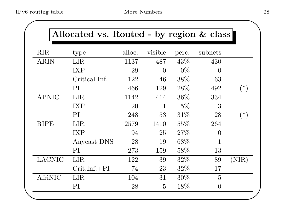|               | Allocated vs. Routed - by region & class |        |                |        |                  |          |
|---------------|------------------------------------------|--------|----------------|--------|------------------|----------|
| <b>RIR</b>    | type                                     | alloc. | visible        | perc.  | subnets          |          |
| <b>ARIN</b>   | <b>LIR</b>                               | 1137   | 487            | 43\%   | 430              |          |
|               | <b>IXP</b>                               | 29     | $\Omega$       | $0\%$  | $\left( \right)$ |          |
|               | Critical Inf.                            | 122    | 46             | 38%    | 63               |          |
|               | PI                                       | 466    | 129            | 28\%   | 492              | $(*)$    |
| <b>APNIC</b>  | <b>LIR</b>                               | 1142   | 414            | 36%    | 334              |          |
|               | <b>IXP</b>                               | 20     | $\mathbf{1}$   | $5\%$  | 3                |          |
|               | PI                                       | 248    | 53             | 31%    | 28               | $(\ast)$ |
| <b>RIPE</b>   | <b>LIR</b>                               | 2579   | 1410           | 55%    | 264              |          |
|               | <b>IXP</b>                               | 94     | 25             | 27%    | $\overline{0}$   |          |
|               | Anycast DNS                              | 28     | 19             | 68\%   | $\mathbf 1$      |          |
|               | PI                                       | 273    | 159            | 58\%   | 13               |          |
| <b>LACNIC</b> | <b>LIR</b>                               | 122    | 39             | 32\%   | 89               | (NIR)    |
|               | $Crit-Inf.+PI$                           | 74     | 23             | $32\%$ | 17               |          |
| AfriNIC       | <b>LIR</b>                               | 104    | 31             | $30\%$ | $\overline{5}$   |          |
|               | PI                                       | 28     | $\overline{5}$ | 18\%   | $\overline{0}$   |          |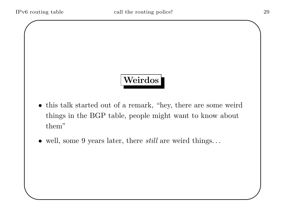# Weirdos

- this talk started out of a remark, "hey, there are some weird things in the BGP table, people might want to know about them"
- $\bullet$  well, some 9 years later, there *still* are weird things...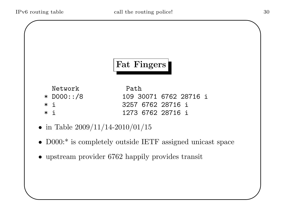

Network Path

✫

\* D000::/8 109 30071 6762 28716 i \* i 3257 6762 28716 i \* i 1273 6762 28716 i

- in Table  $2009/11/14-2010/01/15$
- D000:<sup>\*</sup> is completely outside IETF assigned unicast space
- upstream provider 6762 happily provides transit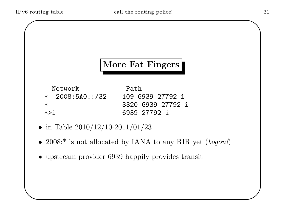✫

# More Fat Fingers

Network Path \* 2008:5A0::/32 109 6939 27792 i \* 3320 6939 27792 i \*>i 6939 27792 i

- in Table  $2010/12/10-2011/01/23$
- 2008:<sup>\*</sup> is not allocated by IANA to any RIR yet (bogon!)
- upstream provider 6939 happily provides transit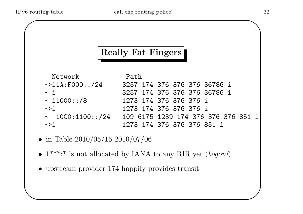✫

#### Really Fat Fingers

| Network                | Path |                                     |
|------------------------|------|-------------------------------------|
| $\star$ >i1A:F000::/24 |      | 3257 174 376 376 376 36786 i        |
| $*$ i                  |      | 3257 174 376 376 376 36786 i        |
| $* i1000::/8$          |      | 1273 174 376 376 376 i              |
| $*$ >i                 |      | 1273 174 376 376 376 i              |
| $* 10C0:1100::/24$     |      | 109 6175 1239 174 376 376 376 851 i |
| $*$                    |      | 1273 174 376 376 376 851 i          |

- in Table  $2010/05/15-2010/07/06$
- $1***.*$  is not allocated by IANA to any RIR yet (bogon!)
- upstream provider 174 happily provides transit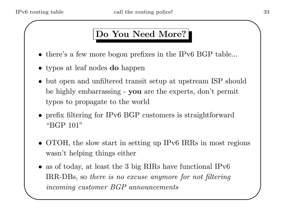✫

#### Do You Need More?

- there's a few more bogon prefixes in the IPv6 BGP table...
- typos at leaf nodes **do** happen
- but open and unfiltered transit setup at upstream ISP should be highly embarrassing - you are the experts, don't permit typos to propagate to the world
- prefix filtering for IPv6 BGP customers is straightforward "BGP 101"
- OTOH, the slow start in setting up IPv6 IRRs in most regions wasn't helping things either
- as of today, at least the 3 big RIRs have functional IPv6 IRR-DBs, so there is no excuse anymore for not filtering incoming customer BGP announcements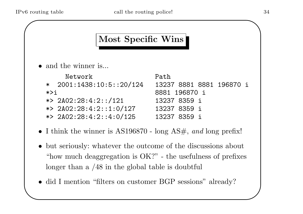✫

#### Most Specific Wins

• and the winner is...

|         | Network                    | Path                     |
|---------|----------------------------|--------------------------|
|         | $*$ 2001:1438:10:5::20/124 | 13237 8881 8881 196870 i |
| $*$ > i |                            | 8881 196870 i            |
|         | *> $2A02:28:4:2::/121$     | 13237 8359 i             |
|         | *> $2A02:28:4:2::1:0/127$  | 13237 8359 i             |
|         | *> $2A02:28:4:2:1:4:0/125$ | 13237 8359 i             |
|         |                            |                          |

- I think the winner is  $AS196870$  long  $AS\#$ , and long prefix!
- but seriously: whatever the outcome of the discussions about "how much deaggregation is OK?" - the usefulness of prefixes longer than a /48 in the global table is doubtful
- did I mention "filters on customer BGP sessions" already?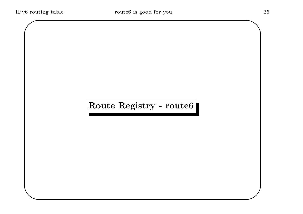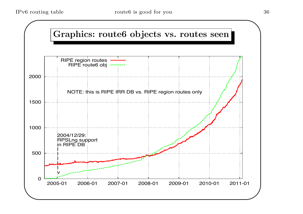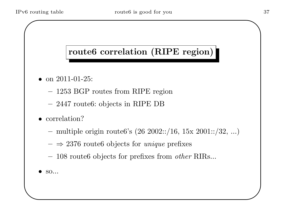### route6 correlation (RIPE region)

- on  $2011 01 25$ :
	- 1253 BGP routes from RIPE region
	- 2447 route6: objects in RIPE DB
- correlation?
	- $-$  multiple origin route6's (26 2002::/16, 15x 2001::/32, ...)
	- $\Rightarrow 2376$  route objects for unique prefixes
	- 108 route6 objects for prefixes from other RIRs...
- $SO...$

✫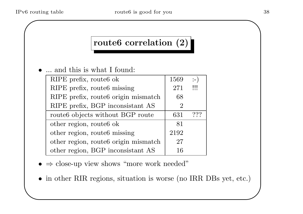✫

### route6 correlation (2)

• ... and this is what I found:

| RIPE prefix, route6 ok                   | 1569          | :− )    |
|------------------------------------------|---------------|---------|
| RIPE prefix, route <sub>6</sub> missing  | 271           | $\prod$ |
| RIPE prefix, route 6 origin mismatch     | 68            |         |
| RIPE prefix, BGP inconsistant AS         | $\mathcal{D}$ |         |
| route6 objects without BGP route         | 631           | ???     |
| other region, route6 ok                  | 81            |         |
| other region, route <sub>6</sub> missing | 2192          |         |
| other region, route6 origin mismatch     | 27            |         |
| other region, BGP inconsistant AS        | 16            |         |

- $\bullet \Rightarrow$  close-up view shows "more work needed"
- in other RIR regions, situation is worse (no IRR DBs yet, etc.)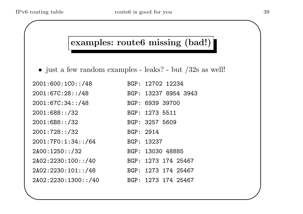✫

## examples: route6 missing (bad!)

• just a few random examples - leaks? - but /32s as well!

| 2001:600:100::/48   | BGP: 12702 12234     |
|---------------------|----------------------|
| 2001:67C:28::/48    | BGP: 13237 8954 3943 |
| 2001:67C:34::/48    | BGP: 6939 39700      |
| 2001:688::/32       | BGP: 1273 5511       |
| 2001:6B8::/32       | BGP: 3257 5609       |
| 2001:728:./32       | BGP: 2914            |
| 2001:7F0:1:34::/64  | BGP: 13237           |
| 2A00:1250::/32      | BGP: 13030 48885     |
| 2A02:2230:100::/40  | BGP: 1273 174 25467  |
| 2A02:2230:101::/48  | BGP: 1273 174 25467  |
| 2A02:2230:1300::/40 | BGP: 1273 174 25467  |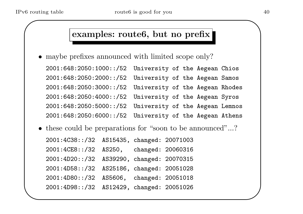✫

#### examples: route6, but no prefix

• maybe prefixes announced with limited scope only?

2001:648:2050:1000::/52 University of the Aegean Chios 2001:648:2050:2000::/52 University of the Aegean Samos 2001:648:2050:3000::/52 University of the Aegean Rhodes 2001:648:2050:4000::/52 University of the Aegean Syros 2001:648:2050:5000::/52 University of the Aegean Lemnos 2001:648:2050:6000::/52 University of the Aegean Athens

• these could be preparations for "soon to be announced"...?

2001:4C38::/32 AS15435, changed: 20071003 2001:4CE8::/32 AS250, changed: 20060316 2001:4D20::/32 AS39290, changed: 20070315 2001:4D58::/32 AS25186, changed: 20051028 2001:4D80::/32 AS5606, changed: 20051018 2001:4D98::/32 AS12429, changed: 20051026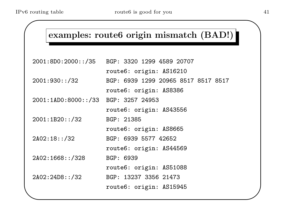✫

## examples: route6 origin mismatch (BAD!)

| BGP: 3320 1299 4589 20707           |
|-------------------------------------|
| route6: origin: AS16210             |
| BGP: 6939 1299 20965 8517 8517 8517 |
| route6: origin: AS8386              |
| 2001:1AD0:8000::/33 BGP: 3257 24953 |
| route6: origin: AS43556             |
| BGP: 21385                          |
| route6: origin: AS8665              |
| BGP: 6939 5577 42652                |
| route6: origin: AS44569             |
| BGP: 6939                           |
| route6: origin: AS51088             |
| BGP: 13237 3356 21473               |
| route6: origin: AS15945             |
|                                     |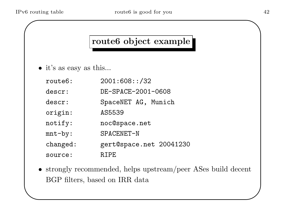✫

## route6 object example

- it's as easy as this...
	- route6: 2001:608::/32 descr: DE-SPACE-2001-0608 descr: SpaceNET AG, Munich origin: AS5539 notify: noc@space.net mnt-by: SPACENET-N changed: gert@space.net 20041230 source: RIPE
- strongly recommended, helps upstream/peer ASes build decent BGP filters, based on IRR data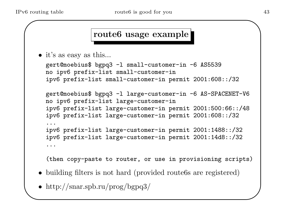✫

#### route6 usage example

• it's as easy as this...

```
gert@moebius$ bgpq3 -l small-customer-in -6 AS5539
no ipv6 prefix-list small-customer-in
ipv6 prefix-list small-customer-in permit 2001:608::/32
gert@moebius$ bgpq3 -l large-customer-in -6 AS-SPACENET-V6
no ipv6 prefix-list large-customer-in
ipv6 prefix-list large-customer-in permit 2001:500:66::/48
ipv6 prefix-list large-customer-in permit 2001:608::/32
...
ipv6 prefix-list large-customer-in permit 2001:1488::/32
ipv6 prefix-list large-customer-in permit 2001:14d8::/32
...
```
(then copy-paste to router, or use in provisioning scripts)

- building filters is not hard (provided route 6s are registered)
- http://snar.spb.ru/prog/bgpq3/